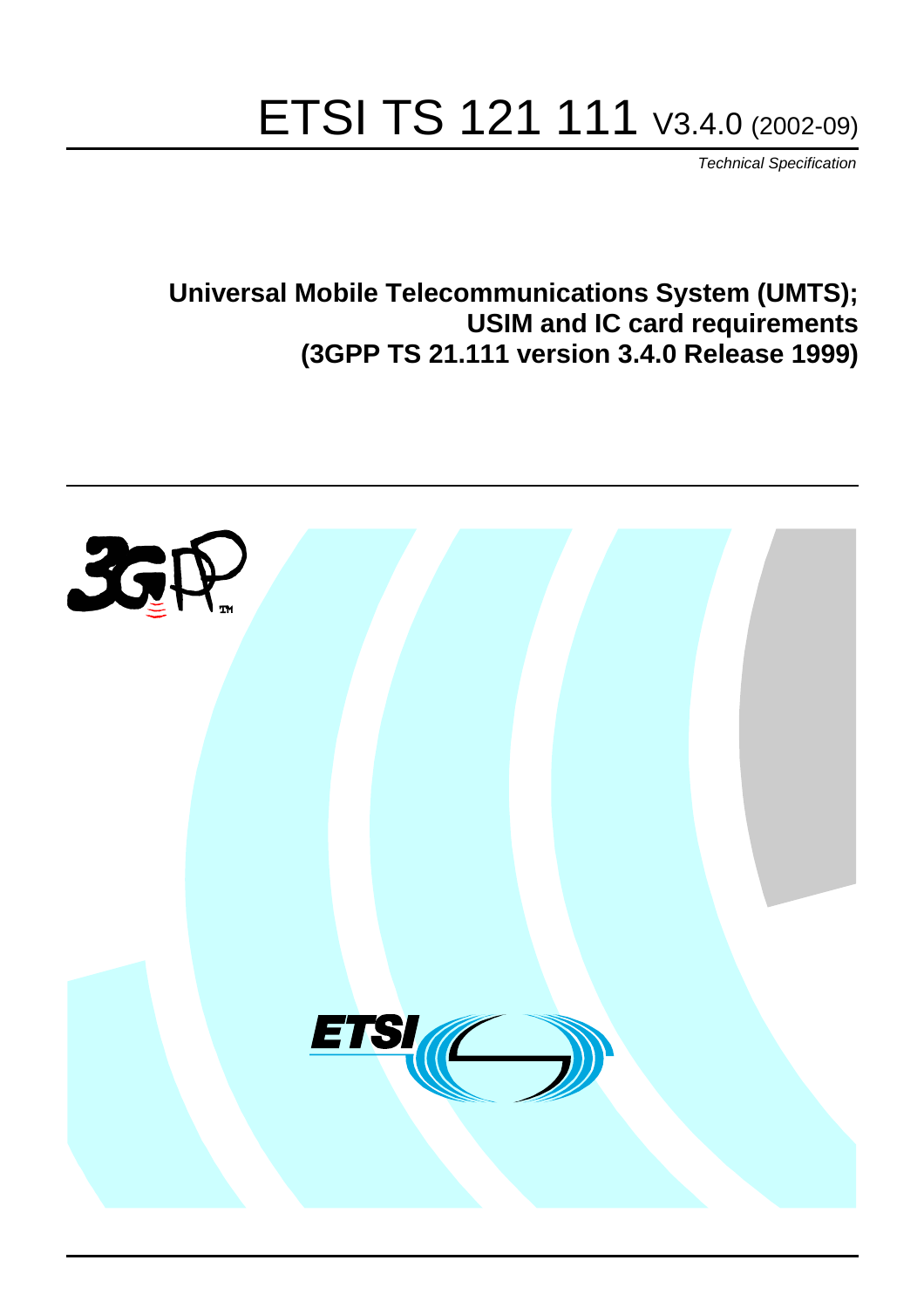# ETSI TS 121 111 V3.4.0 (2002-09)

Technical Specification

**Universal Mobile Telecommunications System (UMTS); USIM and IC card requirements (3GPP TS 21.111 version 3.4.0 Release 1999)**

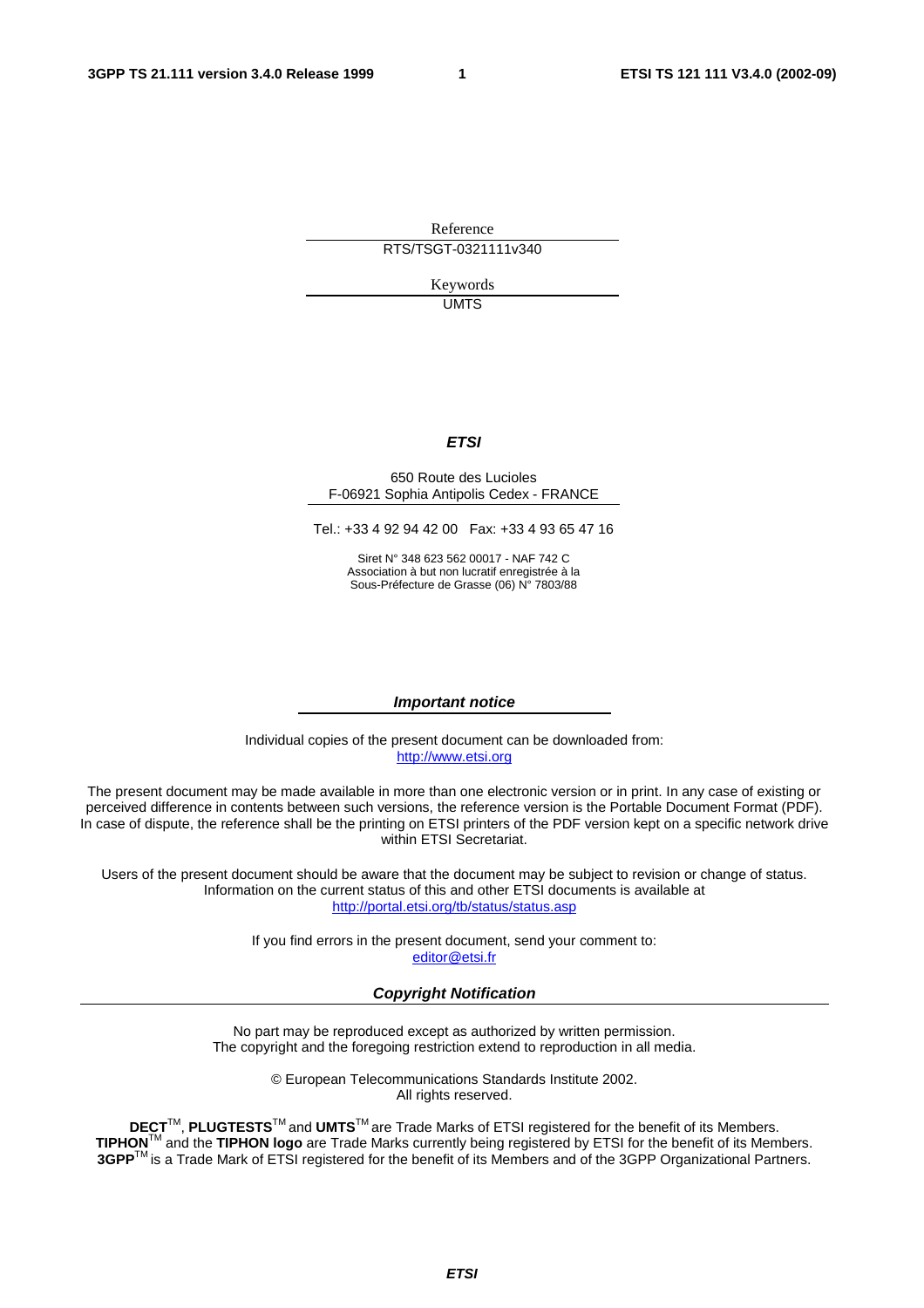Reference RTS/TSGT-0321111v340

> Keywords UMTS

#### **ETSI**

#### 650 Route des Lucioles F-06921 Sophia Antipolis Cedex - FRANCE

Tel.: +33 4 92 94 42 00 Fax: +33 4 93 65 47 16

Siret N° 348 623 562 00017 - NAF 742 C Association à but non lucratif enregistrée à la Sous-Préfecture de Grasse (06) N° 7803/88

#### **Important notice**

Individual copies of the present document can be downloaded from: [http://www.etsi.org](http://www.etsi.org/)

The present document may be made available in more than one electronic version or in print. In any case of existing or perceived difference in contents between such versions, the reference version is the Portable Document Format (PDF). In case of dispute, the reference shall be the printing on ETSI printers of the PDF version kept on a specific network drive within ETSI Secretariat.

Users of the present document should be aware that the document may be subject to revision or change of status. Information on the current status of this and other ETSI documents is available at <http://portal.etsi.org/tb/status/status.asp>

> If you find errors in the present document, send your comment to: [editor@etsi.fr](mailto:editor@etsi.fr)

#### **Copyright Notification**

No part may be reproduced except as authorized by written permission. The copyright and the foregoing restriction extend to reproduction in all media.

> © European Telecommunications Standards Institute 2002. All rights reserved.

**DECT**TM, **PLUGTESTS**TM and **UMTS**TM are Trade Marks of ETSI registered for the benefit of its Members. **TIPHON**TM and the **TIPHON logo** are Trade Marks currently being registered by ETSI for the benefit of its Members. **3GPP**TM is a Trade Mark of ETSI registered for the benefit of its Members and of the 3GPP Organizational Partners.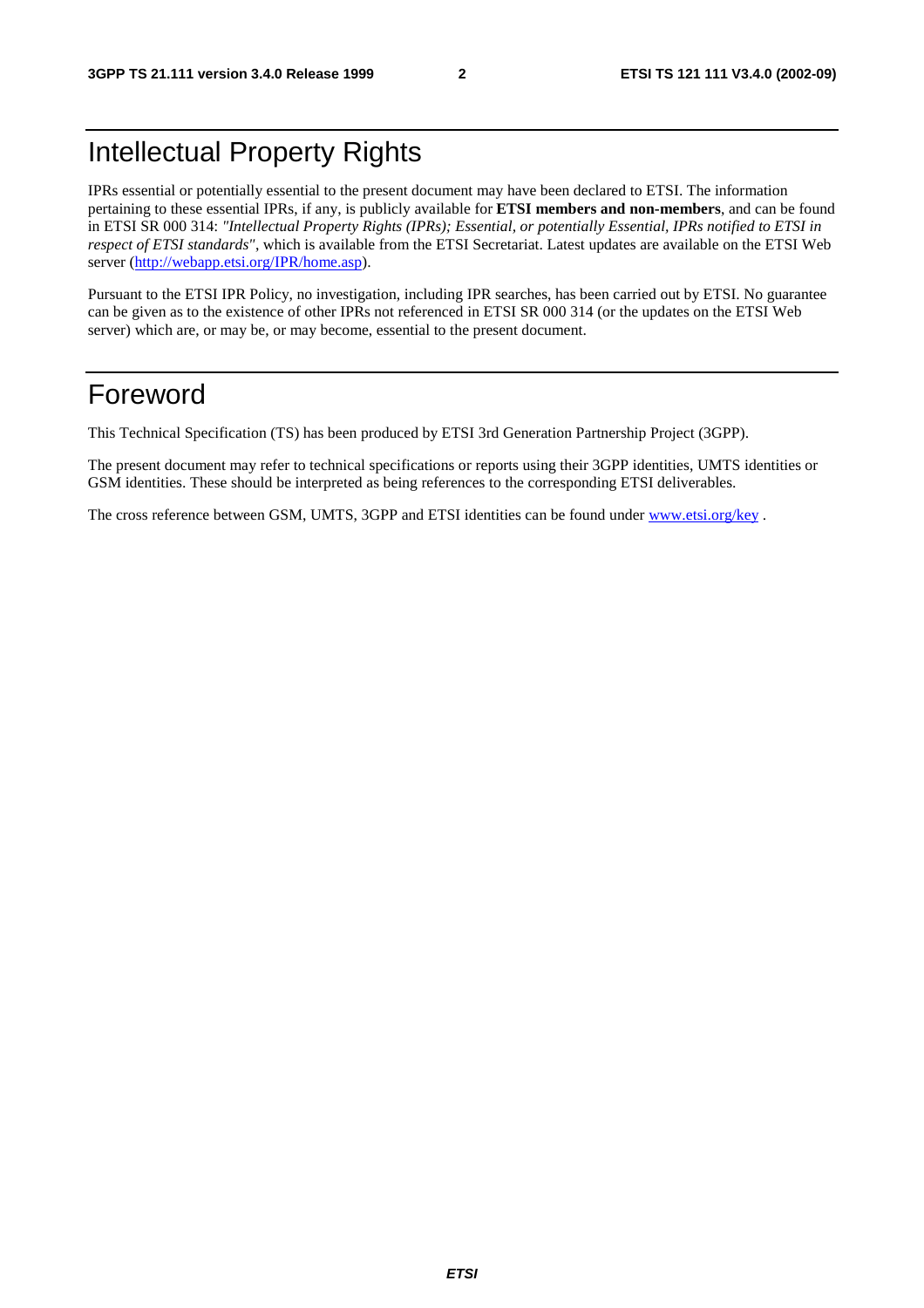### Intellectual Property Rights

IPRs essential or potentially essential to the present document may have been declared to ETSI. The information pertaining to these essential IPRs, if any, is publicly available for **ETSI members and non-members**, and can be found in ETSI SR 000 314: *"Intellectual Property Rights (IPRs); Essential, or potentially Essential, IPRs notified to ETSI in respect of ETSI standards"*, which is available from the ETSI Secretariat. Latest updates are available on the ETSI Web server ([http://webapp.etsi.org/IPR/home.asp\)](http://webapp.etsi.org/IPR/home.asp).

Pursuant to the ETSI IPR Policy, no investigation, including IPR searches, has been carried out by ETSI. No guarantee can be given as to the existence of other IPRs not referenced in ETSI SR 000 314 (or the updates on the ETSI Web server) which are, or may be, or may become, essential to the present document.

### Foreword

This Technical Specification (TS) has been produced by ETSI 3rd Generation Partnership Project (3GPP).

The present document may refer to technical specifications or reports using their 3GPP identities, UMTS identities or GSM identities. These should be interpreted as being references to the corresponding ETSI deliverables.

The cross reference between GSM, UMTS, 3GPP and ETSI identities can be found under [www.etsi.org/key](http://www.etsi.org/key) .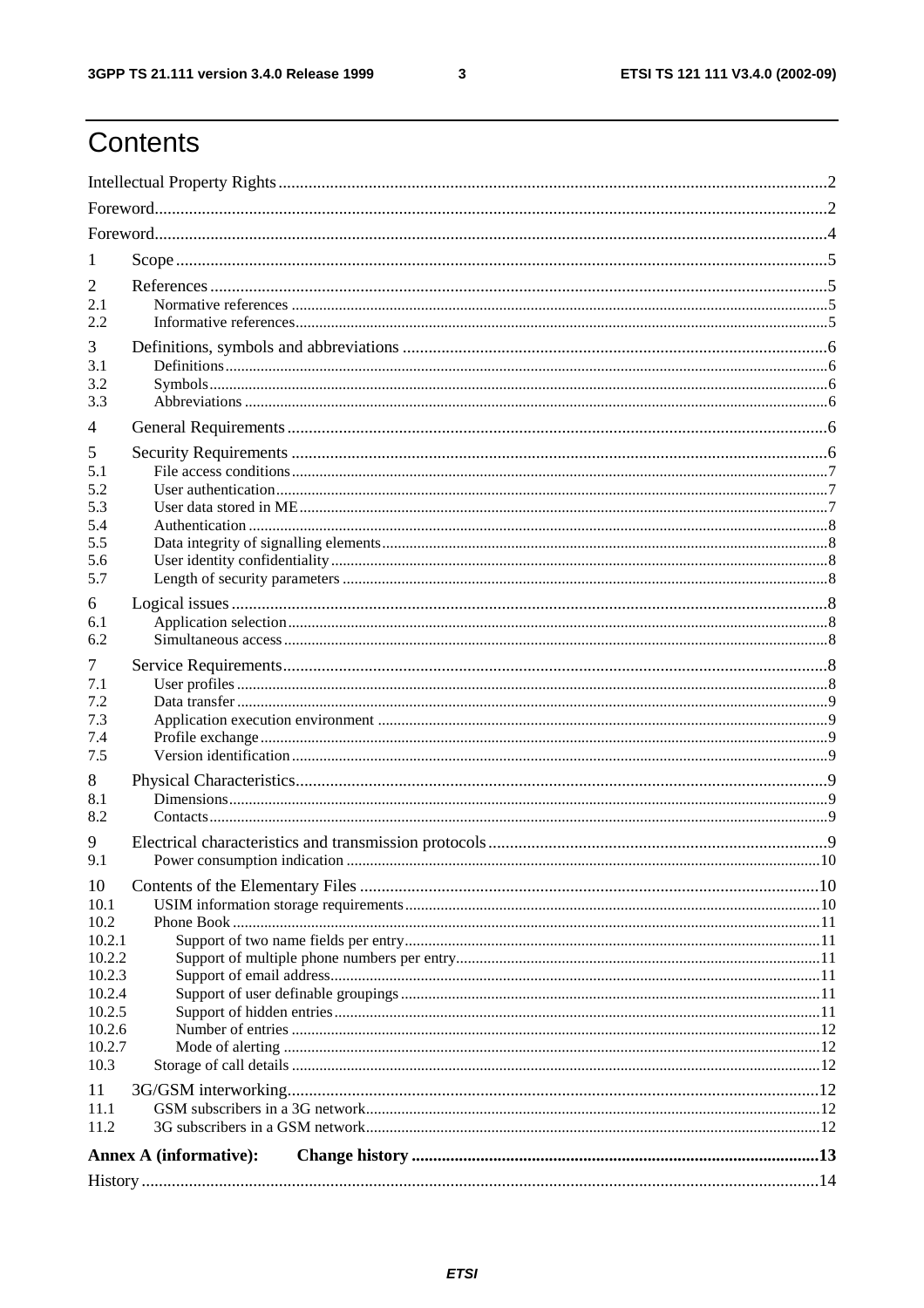$\mathbf{3}$ 

# **Contents**

| 1                |                               |  |  |  |  |  |
|------------------|-------------------------------|--|--|--|--|--|
| 2                |                               |  |  |  |  |  |
| 2.1              |                               |  |  |  |  |  |
| 2.2.             |                               |  |  |  |  |  |
| 3                |                               |  |  |  |  |  |
| 3.1              |                               |  |  |  |  |  |
| 3.2              |                               |  |  |  |  |  |
| 3.3              |                               |  |  |  |  |  |
| 4                |                               |  |  |  |  |  |
| 5                |                               |  |  |  |  |  |
| 5.1              |                               |  |  |  |  |  |
| 5.2              |                               |  |  |  |  |  |
| 5.3<br>5.4       |                               |  |  |  |  |  |
| 5.5              |                               |  |  |  |  |  |
| 5.6              |                               |  |  |  |  |  |
| 5.7              |                               |  |  |  |  |  |
| 6                |                               |  |  |  |  |  |
| 6.1              |                               |  |  |  |  |  |
| 6.2              |                               |  |  |  |  |  |
| 7                |                               |  |  |  |  |  |
| 7.1              |                               |  |  |  |  |  |
| 7.2              |                               |  |  |  |  |  |
| 7.3              |                               |  |  |  |  |  |
| 7.4              |                               |  |  |  |  |  |
| 7.5              |                               |  |  |  |  |  |
| 8                |                               |  |  |  |  |  |
| 8.1<br>8.2       |                               |  |  |  |  |  |
|                  |                               |  |  |  |  |  |
| 9<br>9.1         |                               |  |  |  |  |  |
|                  |                               |  |  |  |  |  |
| 10<br>10.1       |                               |  |  |  |  |  |
| 10.2             |                               |  |  |  |  |  |
| 10.2.1           |                               |  |  |  |  |  |
| 10.2.2           |                               |  |  |  |  |  |
| 10.2.3           |                               |  |  |  |  |  |
| 10.2.4           |                               |  |  |  |  |  |
| 10.2.5           |                               |  |  |  |  |  |
| 10.2.6<br>10.2.7 |                               |  |  |  |  |  |
| 10.3             |                               |  |  |  |  |  |
| 11               |                               |  |  |  |  |  |
| 11.1             |                               |  |  |  |  |  |
| 11.2             |                               |  |  |  |  |  |
|                  | <b>Annex A (informative):</b> |  |  |  |  |  |
|                  |                               |  |  |  |  |  |
|                  |                               |  |  |  |  |  |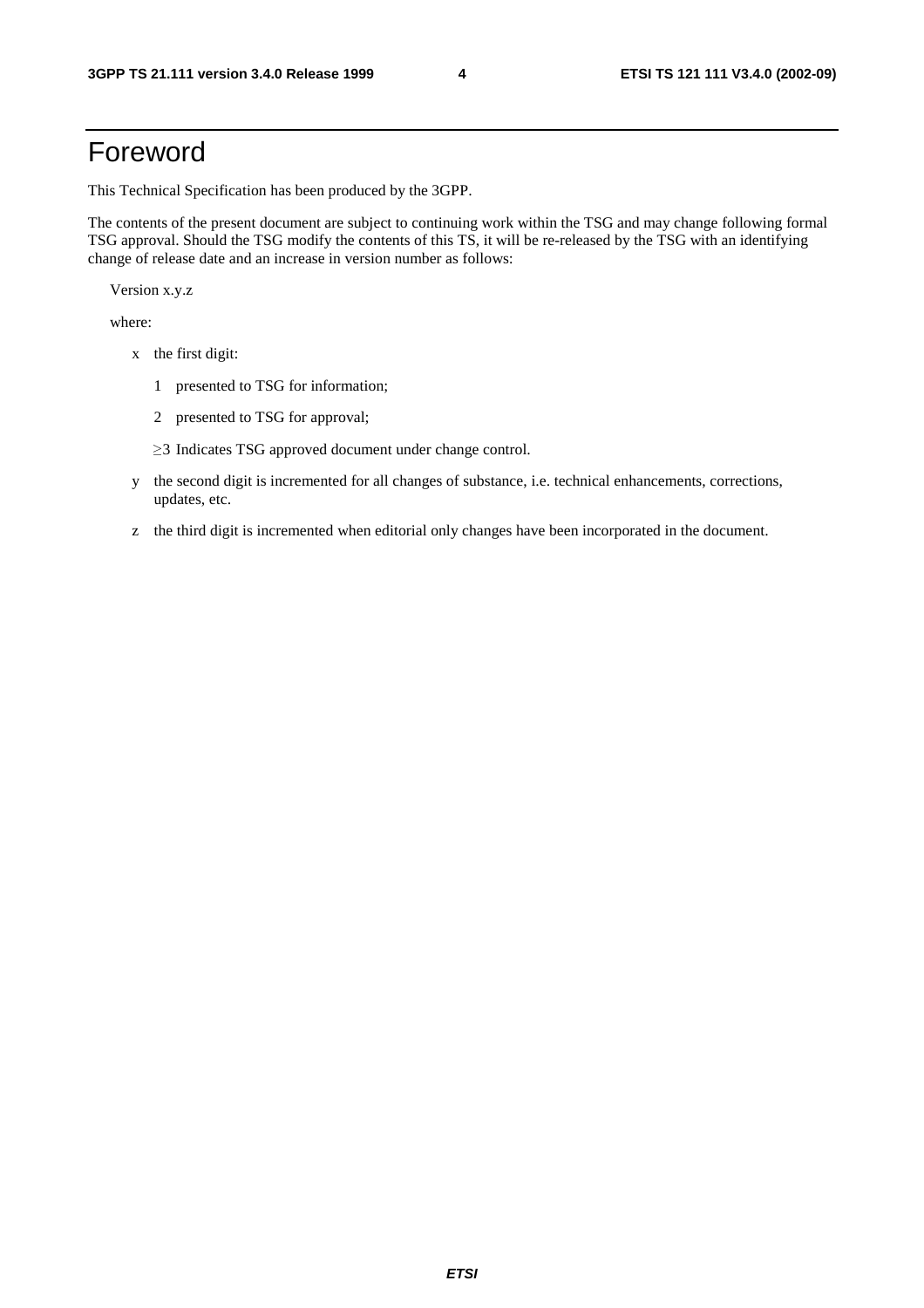### Foreword

This Technical Specification has been produced by the 3GPP.

The contents of the present document are subject to continuing work within the TSG and may change following formal TSG approval. Should the TSG modify the contents of this TS, it will be re-released by the TSG with an identifying change of release date and an increase in version number as follows:

Version x.y.z

where:

- x the first digit:
	- 1 presented to TSG for information;
	- 2 presented to TSG for approval;
	- $\geq$ 3 Indicates TSG approved document under change control.
- y the second digit is incremented for all changes of substance, i.e. technical enhancements, corrections, updates, etc.
- z the third digit is incremented when editorial only changes have been incorporated in the document.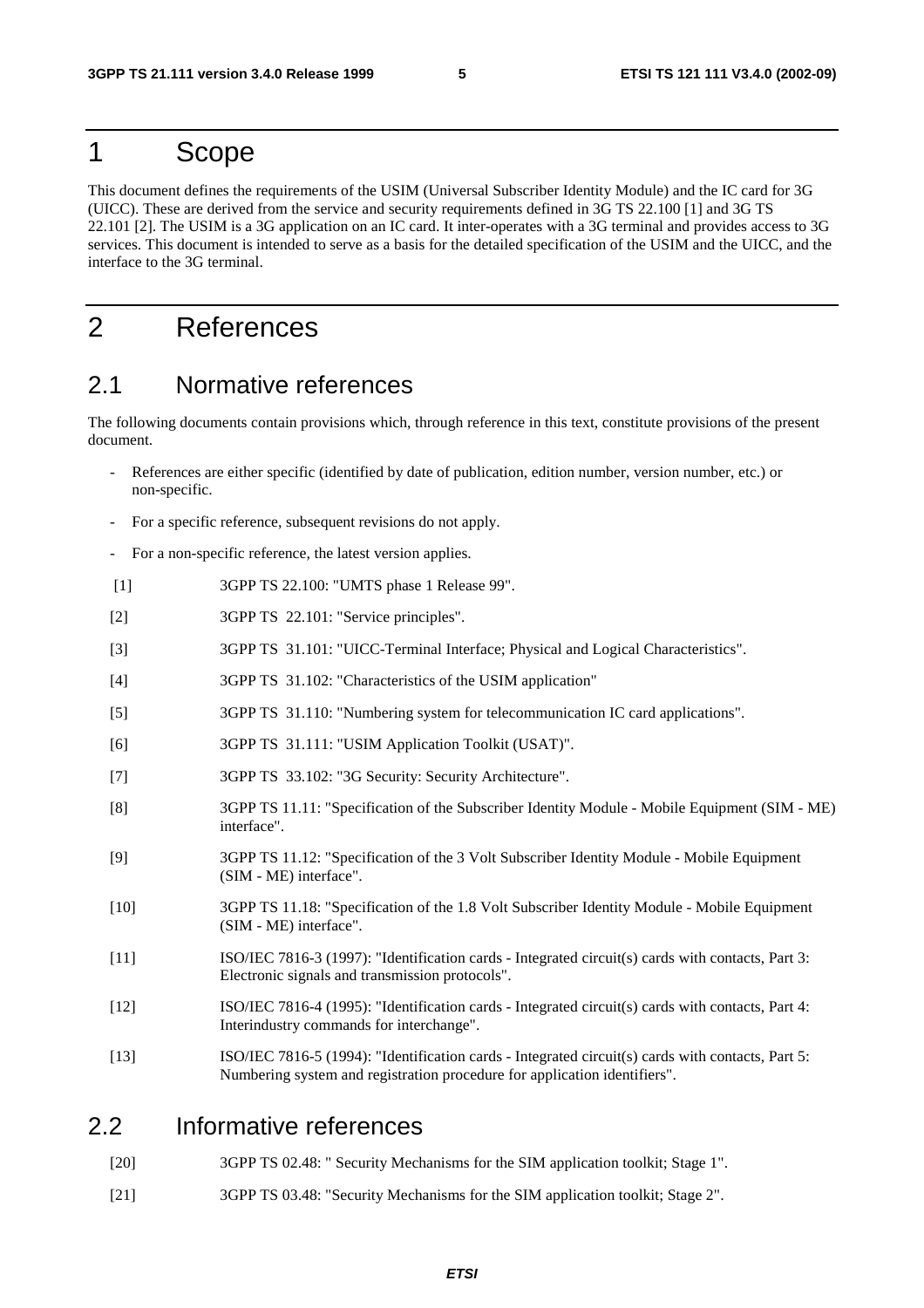### 1 Scope

This document defines the requirements of the USIM (Universal Subscriber Identity Module) and the IC card for 3G (UICC). These are derived from the service and security requirements defined in 3G TS 22.100 [1] and 3G TS 22.101 [2]. The USIM is a 3G application on an IC card. It inter-operates with a 3G terminal and provides access to 3G services. This document is intended to serve as a basis for the detailed specification of the USIM and the UICC, and the interface to the 3G terminal.

### 2 References

#### 2.1 Normative references

The following documents contain provisions which, through reference in this text, constitute provisions of the present document.

- References are either specific (identified by date of publication, edition number, version number, etc.) or non-specific.
- For a specific reference, subsequent revisions do not apply.
- For a non-specific reference, the latest version applies.
- [1] 3GPP TS 22.100: "UMTS phase 1 Release 99".
- [2] 3GPP TS 22.101: "Service principles".
- [3] 3GPP TS 31.101: "UICC-Terminal Interface; Physical and Logical Characteristics".
- [4] 3GPP TS 31.102: "Characteristics of the USIM application"
- [5] 3GPP TS 31.110: "Numbering system for telecommunication IC card applications".
- [6] 3GPP TS 31.111: "USIM Application Toolkit (USAT)".
- [7] 3GPP TS 33.102: "3G Security: Security Architecture".
- [8] 3GPP TS 11.11: "Specification of the Subscriber Identity Module Mobile Equipment (SIM ME) interface".
- [9] 3GPP TS 11.12: "Specification of the 3 Volt Subscriber Identity Module Mobile Equipment (SIM - ME) interface".
- [10] 3GPP TS 11.18: "Specification of the 1.8 Volt Subscriber Identity Module Mobile Equipment (SIM - ME) interface".
- [11] ISO/IEC 7816-3 (1997): "Identification cards Integrated circuit(s) cards with contacts, Part 3: Electronic signals and transmission protocols".
- [12] ISO/IEC 7816-4 (1995): "Identification cards Integrated circuit(s) cards with contacts, Part 4: Interindustry commands for interchange".
- [13] ISO/IEC 7816-5 (1994): "Identification cards Integrated circuit(s) cards with contacts, Part 5: Numbering system and registration procedure for application identifiers".

#### 2.2 Informative references

- [20] 3GPP TS 02.48: " Security Mechanisms for the SIM application toolkit; Stage 1".
- [21] 3GPP TS 03.48: "Security Mechanisms for the SIM application toolkit; Stage 2".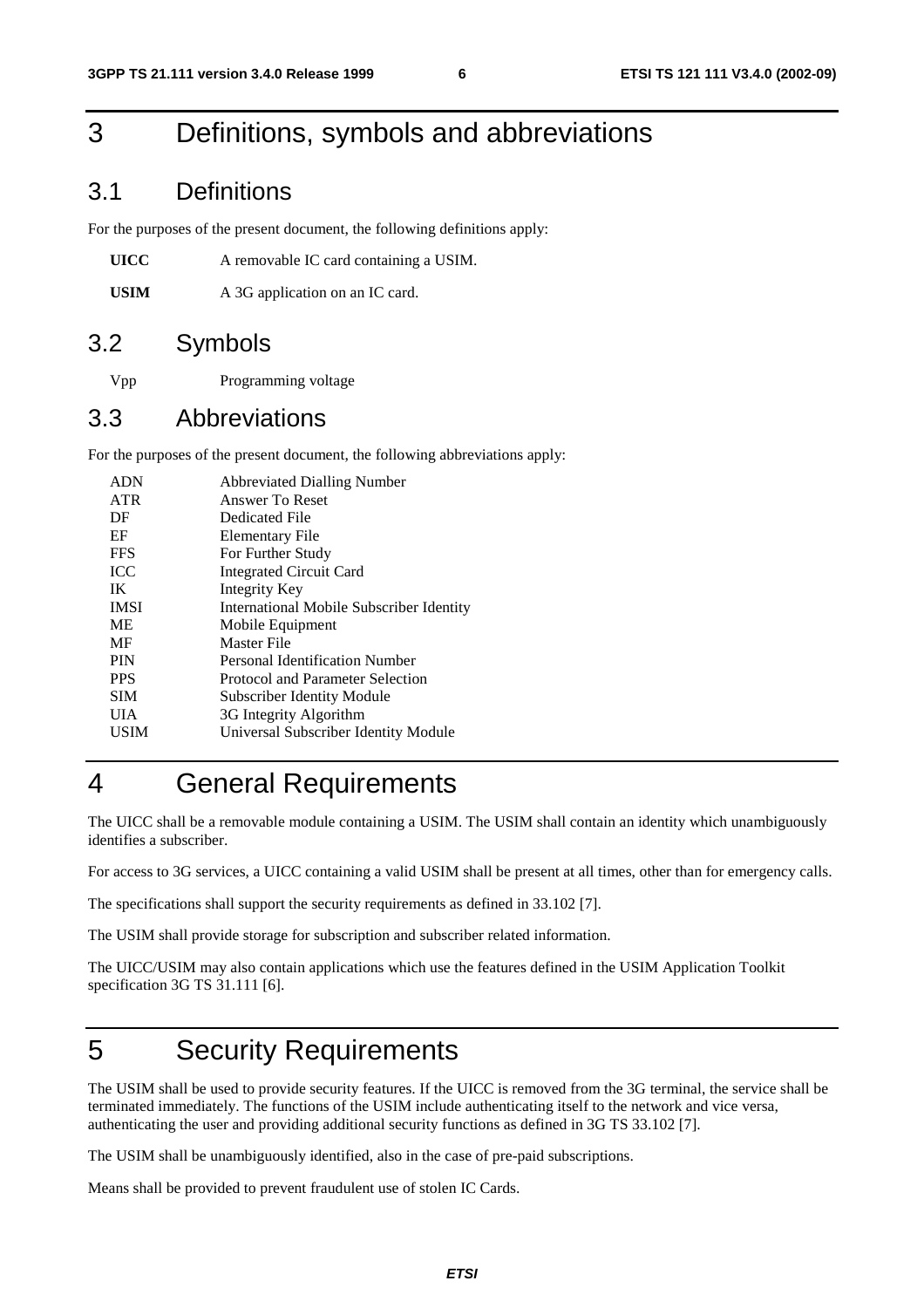# 3 Definitions, symbols and abbreviations

#### 3.1 Definitions

For the purposes of the present document, the following definitions apply:

| UICC | A removable IC card containing a USIM. |
|------|----------------------------------------|
|------|----------------------------------------|

USIM A 3G application on an IC card.

### 3.2 Symbols

Vpp Programming voltage

#### 3.3 Abbreviations

For the purposes of the present document, the following abbreviations apply:

| <b>ADN</b>  | <b>Abbreviated Dialling Number</b>              |
|-------------|-------------------------------------------------|
| <b>ATR</b>  | Answer To Reset                                 |
| DF          | Dedicated File                                  |
| EF          | Elementary File                                 |
| <b>FFS</b>  | For Further Study                               |
| <b>ICC</b>  | <b>Integrated Circuit Card</b>                  |
| IK          | Integrity Key                                   |
| <b>IMSI</b> | <b>International Mobile Subscriber Identity</b> |
| <b>ME</b>   | Mobile Equipment                                |
| MF          | Master File                                     |
| <b>PIN</b>  | Personal Identification Number                  |
| <b>PPS</b>  | Protocol and Parameter Selection                |
| <b>SIM</b>  | <b>Subscriber Identity Module</b>               |
| UІА         | 3G Integrity Algorithm                          |
| USIM        | Universal Subscriber Identity Module            |
|             |                                                 |

# 4 General Requirements

The UICC shall be a removable module containing a USIM. The USIM shall contain an identity which unambiguously identifies a subscriber.

For access to 3G services, a UICC containing a valid USIM shall be present at all times, other than for emergency calls.

The specifications shall support the security requirements as defined in 33.102 [7].

The USIM shall provide storage for subscription and subscriber related information.

The UICC/USIM may also contain applications which use the features defined in the USIM Application Toolkit specification 3G TS 31.111 [6].

# 5 Security Requirements

The USIM shall be used to provide security features. If the UICC is removed from the 3G terminal, the service shall be terminated immediately. The functions of the USIM include authenticating itself to the network and vice versa, authenticating the user and providing additional security functions as defined in 3G TS 33.102 [7].

The USIM shall be unambiguously identified, also in the case of pre-paid subscriptions.

Means shall be provided to prevent fraudulent use of stolen IC Cards.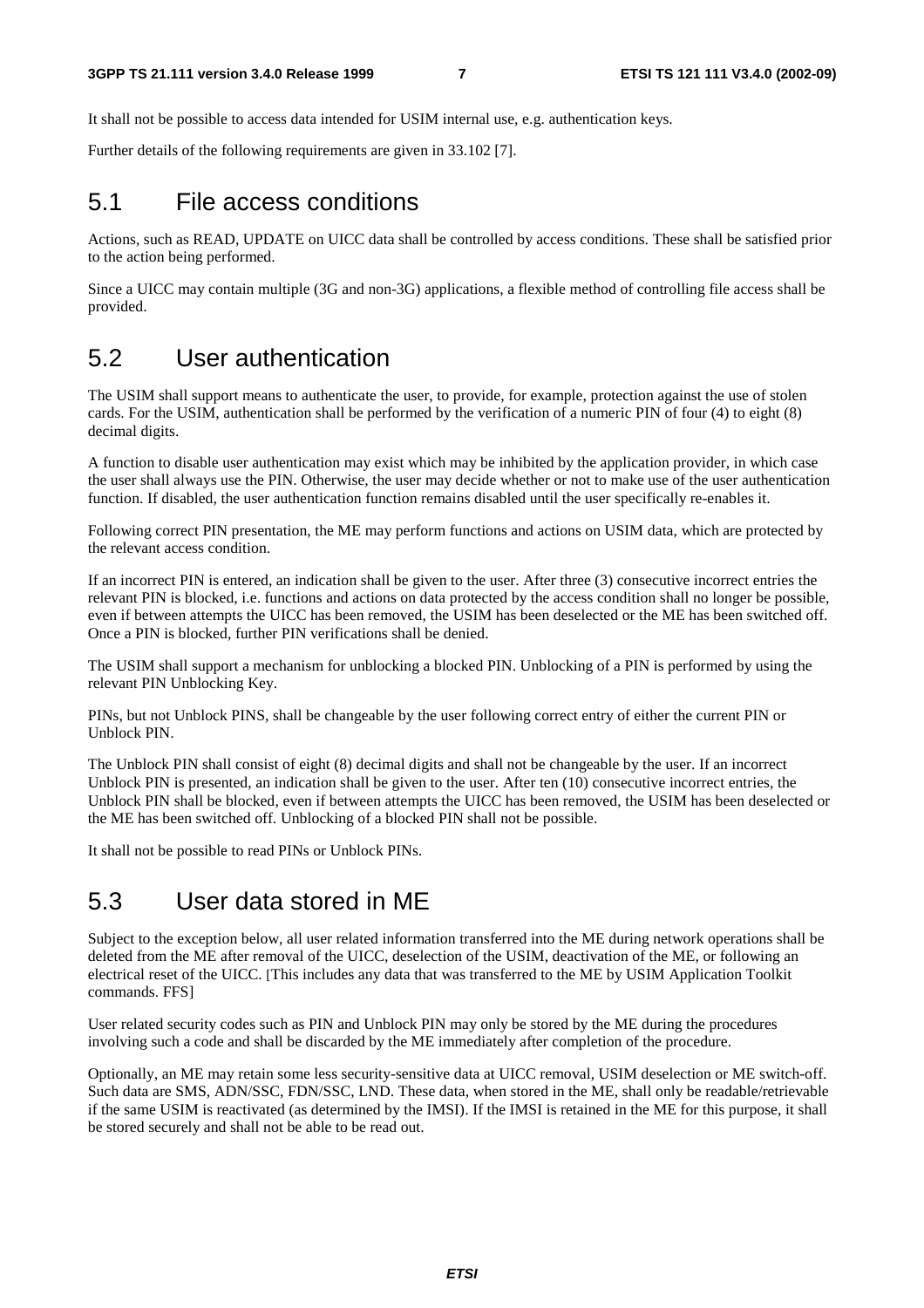It shall not be possible to access data intended for USIM internal use, e.g. authentication keys.

Further details of the following requirements are given in 33.102 [7].

#### 5.1 File access conditions

Actions, such as READ, UPDATE on UICC data shall be controlled by access conditions. These shall be satisfied prior to the action being performed.

Since a UICC may contain multiple (3G and non-3G) applications, a flexible method of controlling file access shall be provided.

#### 5.2 User authentication

The USIM shall support means to authenticate the user, to provide, for example, protection against the use of stolen cards. For the USIM, authentication shall be performed by the verification of a numeric PIN of four (4) to eight (8) decimal digits.

A function to disable user authentication may exist which may be inhibited by the application provider, in which case the user shall always use the PIN. Otherwise, the user may decide whether or not to make use of the user authentication function. If disabled, the user authentication function remains disabled until the user specifically re-enables it.

Following correct PIN presentation, the ME may perform functions and actions on USIM data, which are protected by the relevant access condition.

If an incorrect PIN is entered, an indication shall be given to the user. After three (3) consecutive incorrect entries the relevant PIN is blocked, i.e. functions and actions on data protected by the access condition shall no longer be possible, even if between attempts the UICC has been removed, the USIM has been deselected or the ME has been switched off. Once a PIN is blocked, further PIN verifications shall be denied.

The USIM shall support a mechanism for unblocking a blocked PIN. Unblocking of a PIN is performed by using the relevant PIN Unblocking Key.

PINs, but not Unblock PINS, shall be changeable by the user following correct entry of either the current PIN or Unblock PIN.

The Unblock PIN shall consist of eight (8) decimal digits and shall not be changeable by the user. If an incorrect Unblock PIN is presented, an indication shall be given to the user. After ten (10) consecutive incorrect entries, the Unblock PIN shall be blocked, even if between attempts the UICC has been removed, the USIM has been deselected or the ME has been switched off. Unblocking of a blocked PIN shall not be possible.

It shall not be possible to read PINs or Unblock PINs.

#### 5.3 User data stored in ME

Subject to the exception below, all user related information transferred into the ME during network operations shall be deleted from the ME after removal of the UICC, deselection of the USIM, deactivation of the ME, or following an electrical reset of the UICC. [This includes any data that was transferred to the ME by USIM Application Toolkit commands. FFS]

User related security codes such as PIN and Unblock PIN may only be stored by the ME during the procedures involving such a code and shall be discarded by the ME immediately after completion of the procedure.

Optionally, an ME may retain some less security-sensitive data at UICC removal, USIM deselection or ME switch-off. Such data are SMS, ADN/SSC, FDN/SSC, LND. These data, when stored in the ME, shall only be readable/retrievable if the same USIM is reactivated (as determined by the IMSI). If the IMSI is retained in the ME for this purpose, it shall be stored securely and shall not be able to be read out.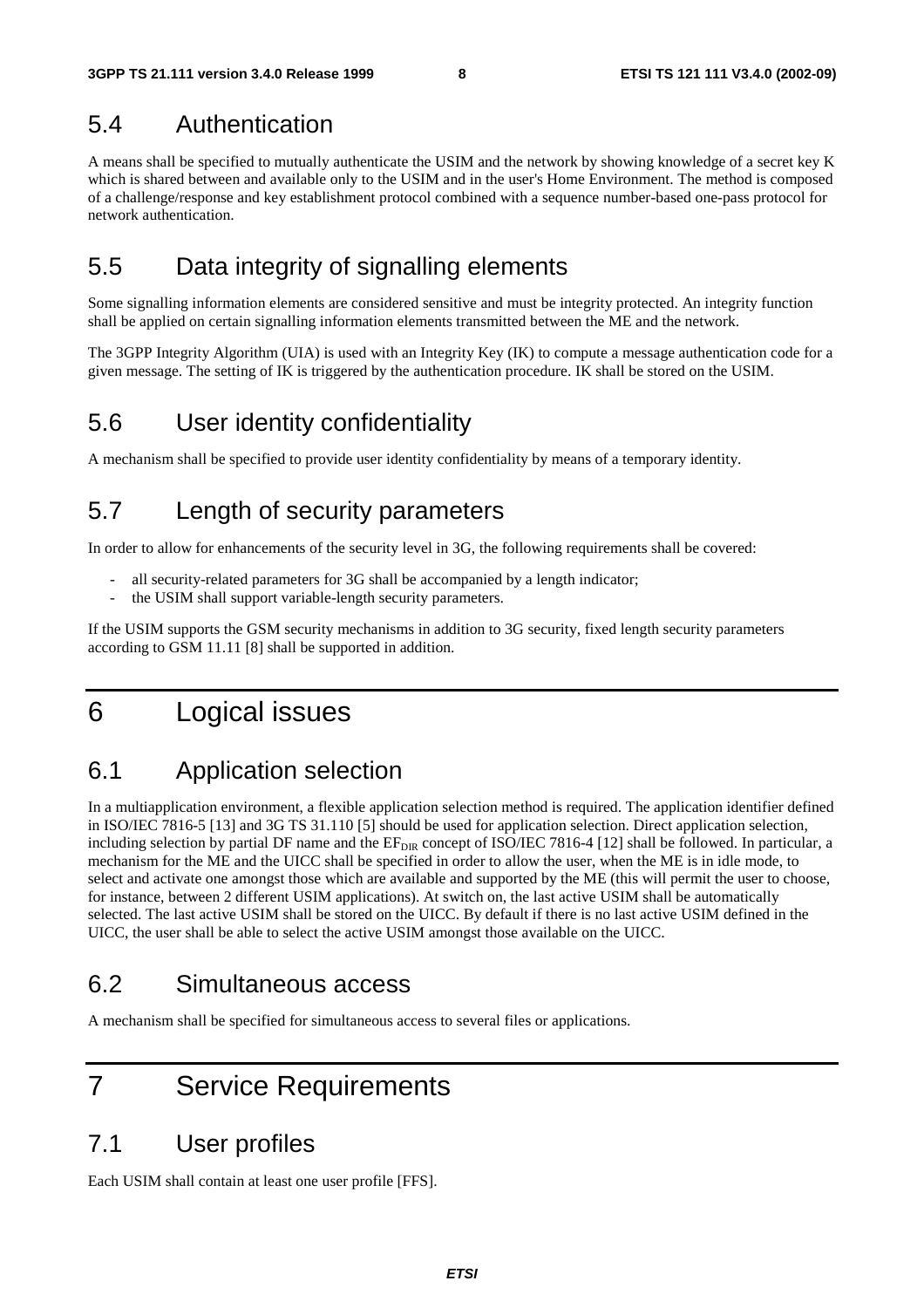#### 5.4 Authentication

A means shall be specified to mutually authenticate the USIM and the network by showing knowledge of a secret key K which is shared between and available only to the USIM and in the user's Home Environment. The method is composed of a challenge/response and key establishment protocol combined with a sequence number-based one-pass protocol for network authentication.

### 5.5 Data integrity of signalling elements

Some signalling information elements are considered sensitive and must be integrity protected. An integrity function shall be applied on certain signalling information elements transmitted between the ME and the network.

The 3GPP Integrity Algorithm (UIA) is used with an Integrity Key (IK) to compute a message authentication code for a given message. The setting of IK is triggered by the authentication procedure. IK shall be stored on the USIM.

#### 5.6 User identity confidentiality

A mechanism shall be specified to provide user identity confidentiality by means of a temporary identity.

### 5.7 Length of security parameters

In order to allow for enhancements of the security level in 3G, the following requirements shall be covered:

- all security-related parameters for 3G shall be accompanied by a length indicator;
- the USIM shall support variable-length security parameters.

If the USIM supports the GSM security mechanisms in addition to 3G security, fixed length security parameters according to GSM 11.11 [8] shall be supported in addition.

### 6 Logical issues

### 6.1 Application selection

In a multiapplication environment, a flexible application selection method is required. The application identifier defined in ISO/IEC 7816-5 [13] and 3G TS 31.110 [5] should be used for application selection. Direct application selection, including selection by partial DF name and the  $EF_{\text{DIR}}$  concept of ISO/IEC 7816-4 [12] shall be followed. In particular, a mechanism for the ME and the UICC shall be specified in order to allow the user, when the ME is in idle mode, to select and activate one amongst those which are available and supported by the ME (this will permit the user to choose, for instance, between 2 different USIM applications). At switch on, the last active USIM shall be automatically selected. The last active USIM shall be stored on the UICC. By default if there is no last active USIM defined in the UICC, the user shall be able to select the active USIM amongst those available on the UICC.

#### 6.2 Simultaneous access

A mechanism shall be specified for simultaneous access to several files or applications.

### 7 Service Requirements

#### 7.1 User profiles

Each USIM shall contain at least one user profile [FFS].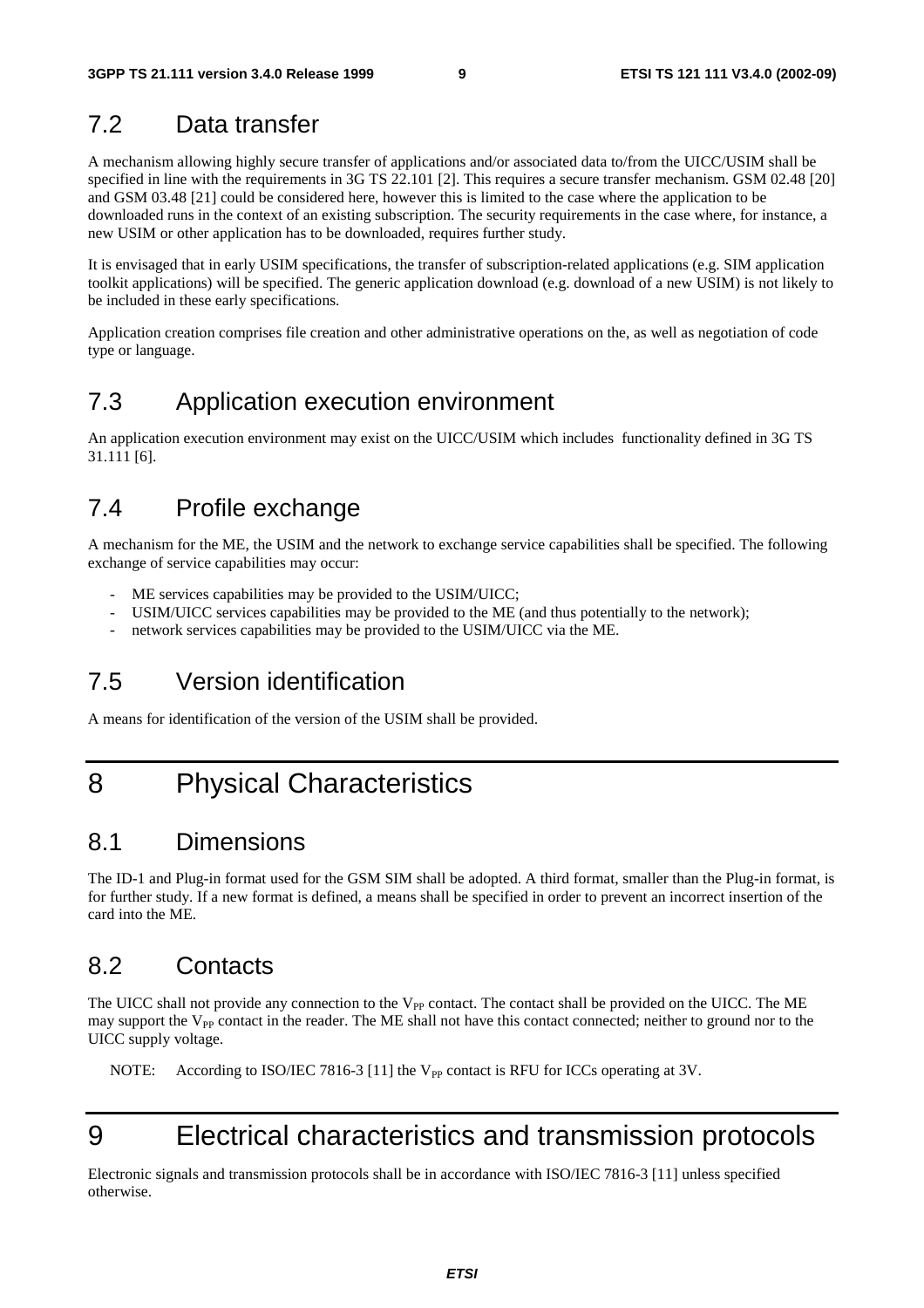### 7.2 Data transfer

A mechanism allowing highly secure transfer of applications and/or associated data to/from the UICC/USIM shall be specified in line with the requirements in 3G TS 22.101 [2]. This requires a secure transfer mechanism. GSM 02.48 [20] and GSM 03.48 [21] could be considered here, however this is limited to the case where the application to be downloaded runs in the context of an existing subscription. The security requirements in the case where, for instance, a new USIM or other application has to be downloaded, requires further study.

It is envisaged that in early USIM specifications, the transfer of subscription-related applications (e.g. SIM application toolkit applications) will be specified. The generic application download (e.g. download of a new USIM) is not likely to be included in these early specifications.

Application creation comprises file creation and other administrative operations on the, as well as negotiation of code type or language.

### 7.3 Application execution environment

An application execution environment may exist on the UICC/USIM which includes functionality defined in 3G TS 31.111 [6].

#### 7.4 Profile exchange

A mechanism for the ME, the USIM and the network to exchange service capabilities shall be specified. The following exchange of service capabilities may occur:

- ME services capabilities may be provided to the USIM/UICC;
- USIM/UICC services capabilities may be provided to the ME (and thus potentially to the network);
- network services capabilities may be provided to the USIM/UICC via the ME.

### 7.5 Version identification

A means for identification of the version of the USIM shall be provided.

### 8 Physical Characteristics

#### 8.1 Dimensions

The ID-1 and Plug-in format used for the GSM SIM shall be adopted. A third format, smaller than the Plug-in format, is for further study. If a new format is defined, a means shall be specified in order to prevent an incorrect insertion of the card into the ME.

### 8.2 Contacts

The UICC shall not provide any connection to the V<sub>PP</sub> contact. The contact shall be provided on the UICC. The ME may support the  $V_{PP}$  contact in the reader. The ME shall not have this contact connected; neither to ground nor to the UICC supply voltage.

NOTE: According to ISO/IEC 7816-3 [11] the V<sub>PP</sub> contact is RFU for ICCs operating at 3V.

# 9 Electrical characteristics and transmission protocols

Electronic signals and transmission protocols shall be in accordance with ISO/IEC 7816-3 [11] unless specified otherwise.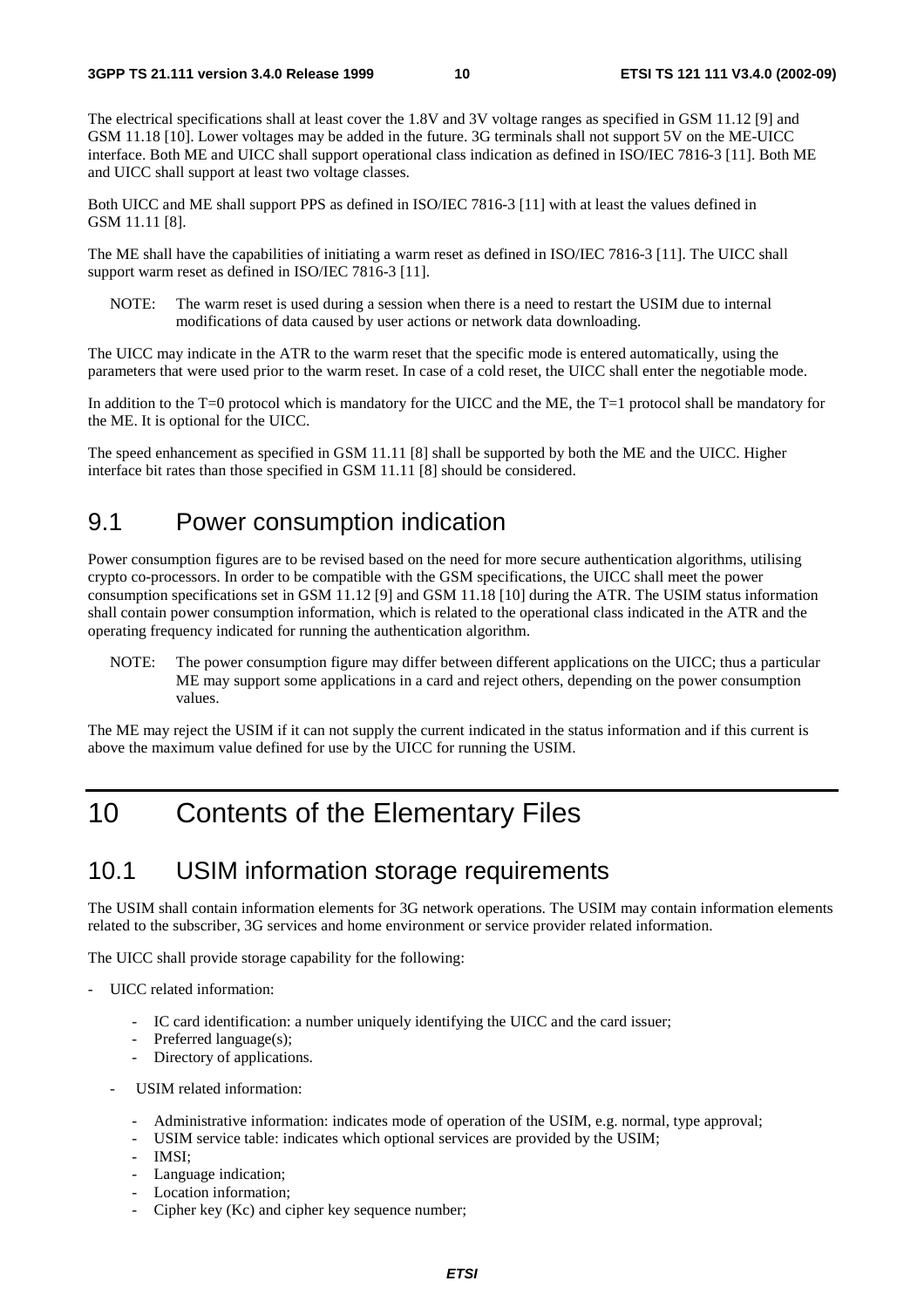The electrical specifications shall at least cover the 1.8V and 3V voltage ranges as specified in GSM 11.12 [9] and GSM 11.18 [10]. Lower voltages may be added in the future. 3G terminals shall not support 5V on the ME-UICC interface. Both ME and UICC shall support operational class indication as defined in ISO/IEC 7816-3 [11]. Both ME and UICC shall support at least two voltage classes.

Both UICC and ME shall support PPS as defined in ISO/IEC 7816-3 [11] with at least the values defined in GSM 11.11 [8].

The ME shall have the capabilities of initiating a warm reset as defined in ISO/IEC 7816-3 [11]. The UICC shall support warm reset as defined in ISO/IEC 7816-3 [11].

NOTE: The warm reset is used during a session when there is a need to restart the USIM due to internal modifications of data caused by user actions or network data downloading.

The UICC may indicate in the ATR to the warm reset that the specific mode is entered automatically, using the parameters that were used prior to the warm reset. In case of a cold reset, the UICC shall enter the negotiable mode.

In addition to the T=0 protocol which is mandatory for the UICC and the ME, the T=1 protocol shall be mandatory for the ME. It is optional for the UICC.

The speed enhancement as specified in GSM 11.11 [8] shall be supported by both the ME and the UICC. Higher interface bit rates than those specified in GSM 11.11 [8] should be considered.

#### 9.1 Power consumption indication

Power consumption figures are to be revised based on the need for more secure authentication algorithms, utilising crypto co-processors. In order to be compatible with the GSM specifications, the UICC shall meet the power consumption specifications set in GSM 11.12 [9] and GSM 11.18 [10] during the ATR. The USIM status information shall contain power consumption information, which is related to the operational class indicated in the ATR and the operating frequency indicated for running the authentication algorithm.

NOTE: The power consumption figure may differ between different applications on the UICC; thus a particular ME may support some applications in a card and reject others, depending on the power consumption values.

The ME may reject the USIM if it can not supply the current indicated in the status information and if this current is above the maximum value defined for use by the UICC for running the USIM.

### 10 Contents of the Elementary Files

#### 10.1 USIM information storage requirements

The USIM shall contain information elements for 3G network operations. The USIM may contain information elements related to the subscriber, 3G services and home environment or service provider related information.

The UICC shall provide storage capability for the following:

- UICC related information:
	- IC card identification: a number uniquely identifying the UICC and the card issuer;
	- Preferred language(s);
	- Directory of applications.
	- USIM related information:
		- Administrative information: indicates mode of operation of the USIM, e.g. normal, type approval;
		- USIM service table: indicates which optional services are provided by the USIM;
		- IMSI:
		- Language indication;
		- Location information;
		- Cipher key (Kc) and cipher key sequence number;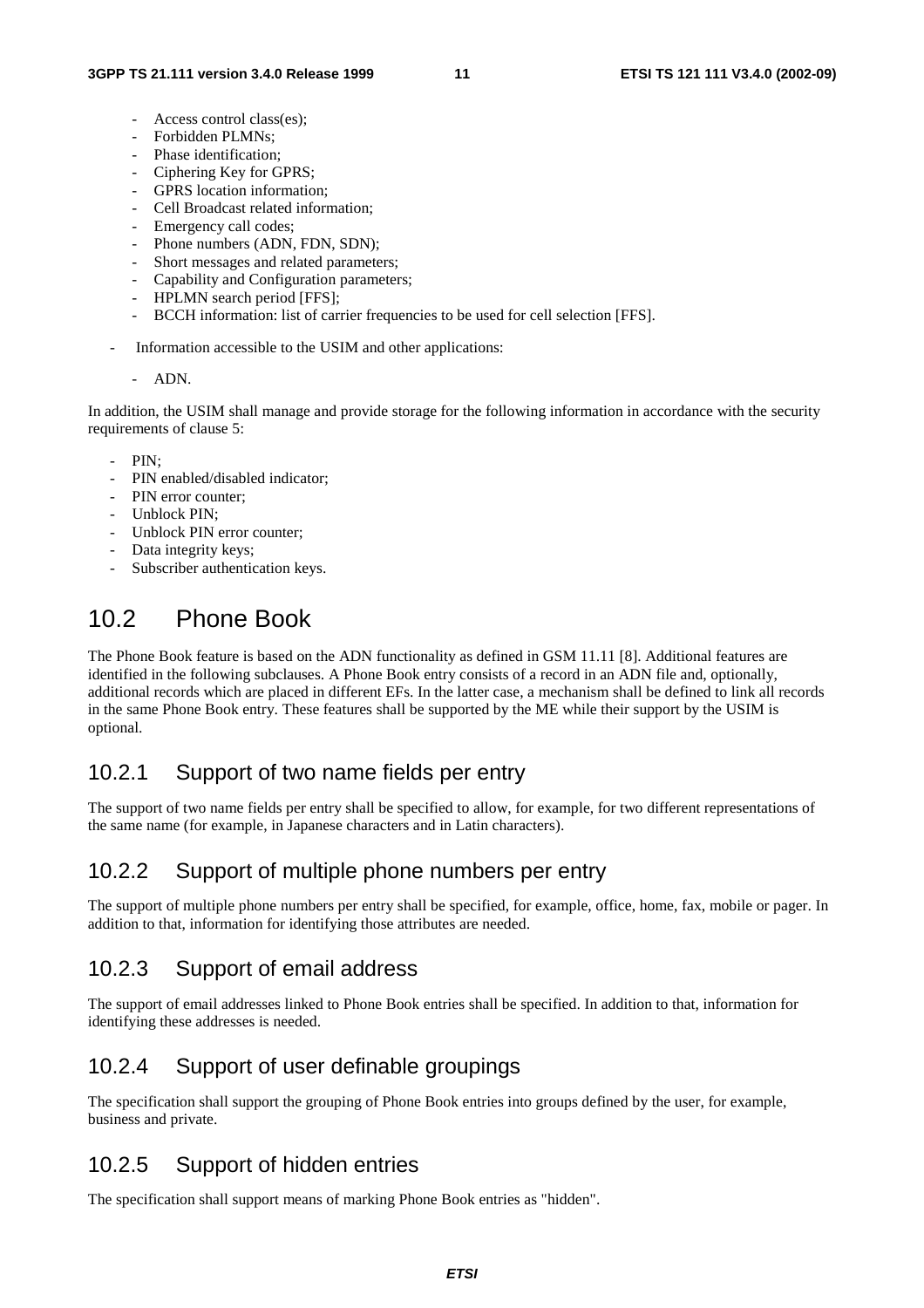- Access control class(es):
- Forbidden PLMNs:
- Phase identification;
- Ciphering Key for GPRS;
- GPRS location information;
- Cell Broadcast related information;
- Emergency call codes;
- Phone numbers (ADN, FDN, SDN);
- Short messages and related parameters;
- Capability and Configuration parameters;
- HPLMN search period [FFS];
- BCCH information: list of carrier frequencies to be used for cell selection [FFS].
- Information accessible to the USIM and other applications:
	- ADN.

In addition, the USIM shall manage and provide storage for the following information in accordance with the security requirements of clause 5:

- $PIN$
- PIN enabled/disabled indicator;
- PIN error counter:
- Unblock PIN;
- Unblock PIN error counter:
- Data integrity keys;
- Subscriber authentication keys.

### 10.2 Phone Book

The Phone Book feature is based on the ADN functionality as defined in GSM 11.11 [8]. Additional features are identified in the following subclauses. A Phone Book entry consists of a record in an ADN file and, optionally, additional records which are placed in different EFs. In the latter case, a mechanism shall be defined to link all records in the same Phone Book entry. These features shall be supported by the ME while their support by the USIM is optional.

#### 10.2.1 Support of two name fields per entry

The support of two name fields per entry shall be specified to allow, for example, for two different representations of the same name (for example, in Japanese characters and in Latin characters).

#### 10.2.2 Support of multiple phone numbers per entry

The support of multiple phone numbers per entry shall be specified, for example, office, home, fax, mobile or pager. In addition to that, information for identifying those attributes are needed.

#### 10.2.3 Support of email address

The support of email addresses linked to Phone Book entries shall be specified. In addition to that, information for identifying these addresses is needed.

#### 10.2.4 Support of user definable groupings

The specification shall support the grouping of Phone Book entries into groups defined by the user, for example, business and private.

#### 10.2.5 Support of hidden entries

The specification shall support means of marking Phone Book entries as "hidden".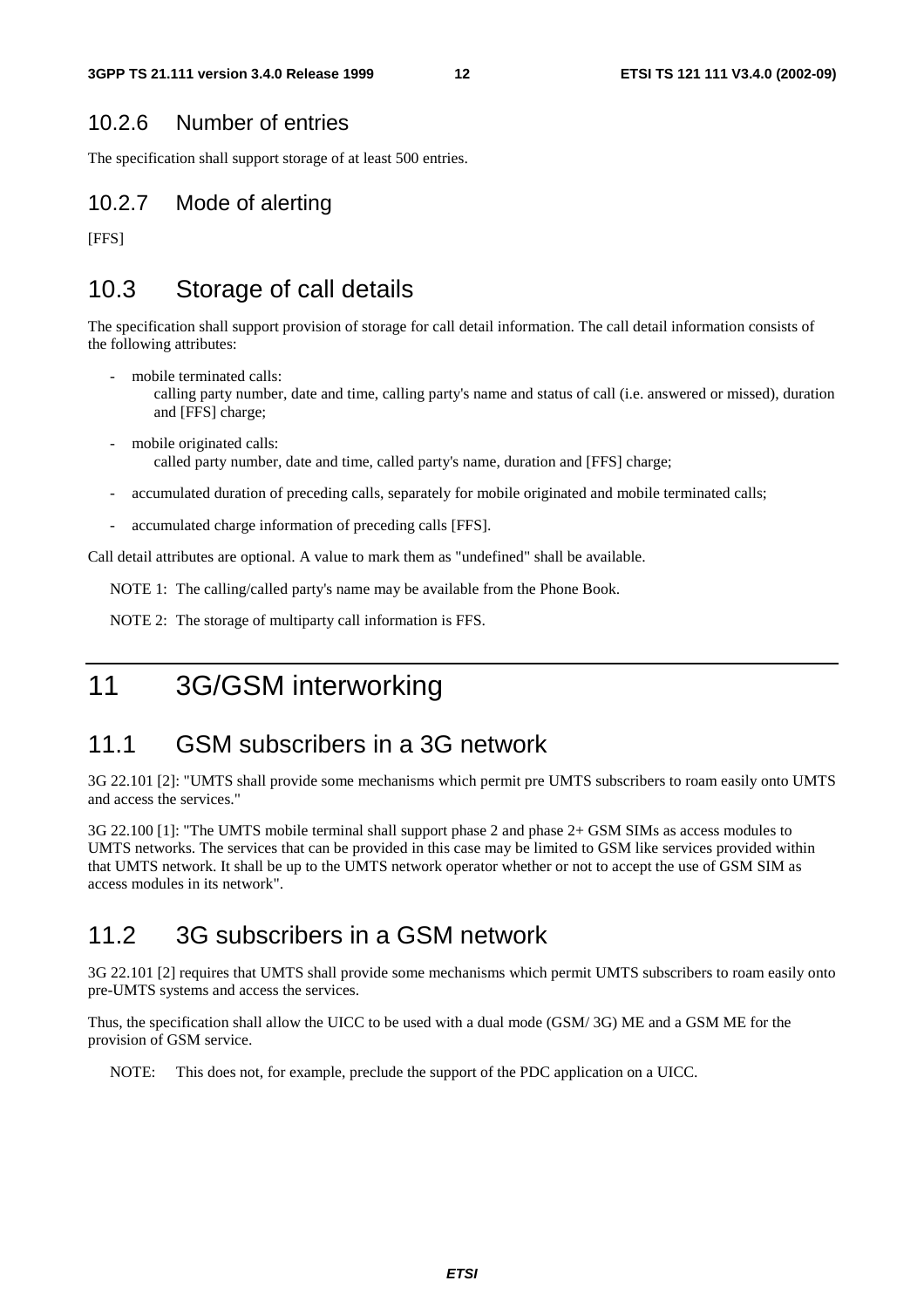#### 10.2.6 Number of entries

The specification shall support storage of at least 500 entries.

#### 10.2.7 Mode of alerting

[FFS]

### 10.3 Storage of call details

The specification shall support provision of storage for call detail information. The call detail information consists of the following attributes:

- mobile terminated calls: calling party number, date and time, calling party's name and status of call (i.e. answered or missed), duration and [FFS] charge;
- mobile originated calls: called party number, date and time, called party's name, duration and [FFS] charge;
- accumulated duration of preceding calls, separately for mobile originated and mobile terminated calls;
- accumulated charge information of preceding calls [FFS].

Call detail attributes are optional. A value to mark them as "undefined" shall be available.

NOTE 1: The calling/called party's name may be available from the Phone Book.

NOTE 2: The storage of multiparty call information is FFS.

### 11 3G/GSM interworking

#### 11.1 GSM subscribers in a 3G network

3G 22.101 [2]: "UMTS shall provide some mechanisms which permit pre UMTS subscribers to roam easily onto UMTS and access the services."

3G 22.100 [1]: "The UMTS mobile terminal shall support phase 2 and phase 2+ GSM SIMs as access modules to UMTS networks. The services that can be provided in this case may be limited to GSM like services provided within that UMTS network. It shall be up to the UMTS network operator whether or not to accept the use of GSM SIM as access modules in its network".

#### 11.2 3G subscribers in a GSM network

3G 22.101 [2] requires that UMTS shall provide some mechanisms which permit UMTS subscribers to roam easily onto pre-UMTS systems and access the services.

Thus, the specification shall allow the UICC to be used with a dual mode (GSM/ 3G) ME and a GSM ME for the provision of GSM service.

NOTE: This does not, for example, preclude the support of the PDC application on a UICC.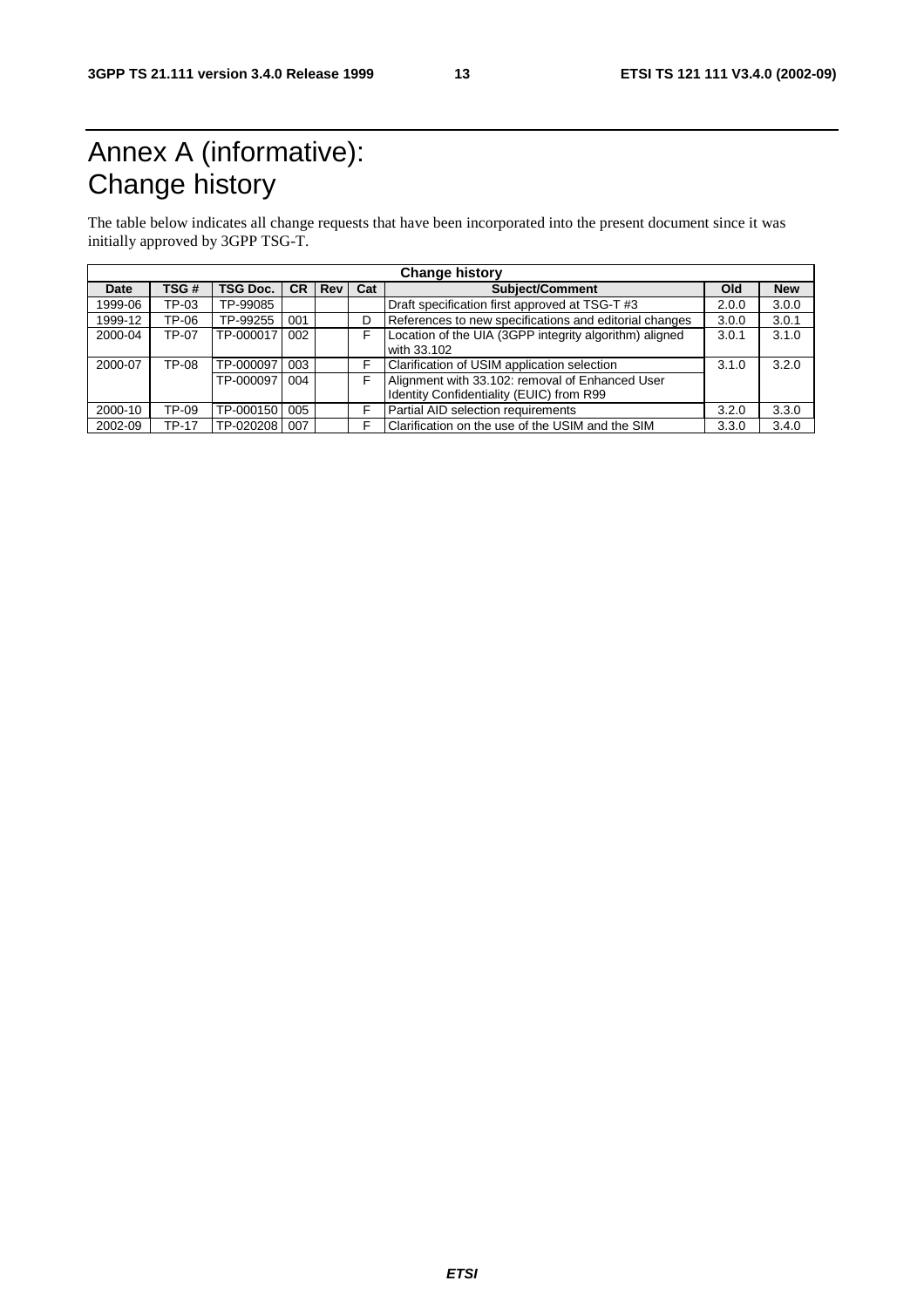# Annex A (informative): Change history

The table below indicates all change requests that have been incorporated into the present document since it was initially approved by 3GPP TSG-T.

| <b>Change history</b> |       |                 |     |       |     |                                                                                             |       |            |
|-----------------------|-------|-----------------|-----|-------|-----|---------------------------------------------------------------------------------------------|-------|------------|
| Date                  | TSG#  | <b>TSG Doc.</b> | CR. | l Rev | Cat | <b>Subject/Comment</b>                                                                      | Old   | <b>New</b> |
| 1999-06               | TP-03 | TP-99085        |     |       |     | Draft specification first approved at TSG-T #3                                              | 2.0.0 | 3.0.0      |
| 1999-12               | TP-06 | TP-99255        | 001 |       | D   | References to new specifications and editorial changes                                      | 3.0.0 | 3.0.1      |
| 2000-04               | TP-07 | TP-000017       | 002 |       |     | Location of the UIA (3GPP integrity algorithm) aligned<br>with 33.102                       | 3.0.1 | 3.1.0      |
| 2000-07               | TP-08 | TP-000097       | 003 |       |     | Clarification of USIM application selection                                                 | 3.1.0 | 3.2.0      |
|                       |       | TP-000097       | 004 |       |     | Alignment with 33.102: removal of Enhanced User<br>Identity Confidentiality (EUIC) from R99 |       |            |
| 2000-10               | TP-09 | TP-000150       | 005 |       |     | Partial AID selection requirements                                                          | 3.2.0 | 3.3.0      |
| 2002-09               | TP-17 | TP-020208       | 007 |       |     | Clarification on the use of the USIM and the SIM                                            | 3.3.0 | 3.4.0      |